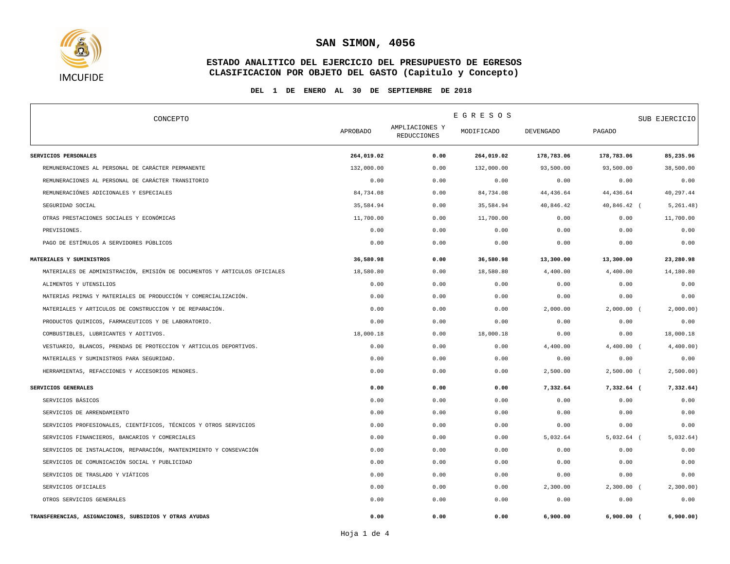

## **ESTADO ANALITICO DEL EJERCICIO DEL PRESUPUESTO DE EGRESOS CLASIFICACION POR OBJETO DEL GASTO (Capitulo y Concepto)**

#### **DEL 1 DE ENERO AL 30 DE SEPTIEMBRE DE 2018**

| CONCEPTO                                                                  |                 | E G R E S O S                        |            |                  |               | SUB EJERCICIO |  |
|---------------------------------------------------------------------------|-----------------|--------------------------------------|------------|------------------|---------------|---------------|--|
|                                                                           | <b>APROBADO</b> | AMPLIACIONES Y<br><b>REDUCCIONES</b> | MODIFICADO | <b>DEVENGADO</b> | <b>PAGADO</b> |               |  |
| SERVICIOS PERSONALES                                                      | 264,019.02      | 0.00                                 | 264,019.02 | 178,783.06       | 178,783.06    | 85,235.96     |  |
| REMUNERACIONES AL PERSONAL DE CARÁCTER PERMANENTE                         | 132,000.00      | 0.00                                 | 132,000.00 | 93,500.00        | 93,500.00     | 38,500.00     |  |
| REMUNERACIONES AL PERSONAL DE CARÁCTER TRANSITORIO                        | 0.00            | 0.00                                 | 0.00       | 0.00             | 0.00          | 0.00          |  |
| REMUNERACIÓNES ADICIONALES Y ESPECIALES                                   | 84,734.08       | 0.00                                 | 84,734.08  | 44, 436.64       | 44, 436.64    | 40,297.44     |  |
| SEGURIDAD SOCIAL                                                          | 35,584.94       | 0.00                                 | 35,584.94  | 40,846.42        | 40,846.42 (   | 5,261.48      |  |
| OTRAS PRESTACIONES SOCIALES Y ECONÓMICAS                                  | 11,700.00       | 0.00                                 | 11,700.00  | 0.00             | 0.00          | 11,700.00     |  |
| PREVISIONES.                                                              | 0.00            | 0.00                                 | 0.00       | 0.00             | 0.00          | 0.00          |  |
| PAGO DE ESTÍMULOS A SERVIDORES PÚBLICOS                                   | 0.00            | 0.00                                 | 0.00       | 0.00             | 0.00          | 0.00          |  |
| MATERIALES Y SUMINISTROS                                                  | 36,580.98       | 0.00                                 | 36,580.98  | 13,300.00        | 13,300.00     | 23,280.98     |  |
| MATERIALES DE ADMINISTRACIÓN, EMISIÓN DE DOCUMENTOS Y ARTICULOS OFICIALES | 18,580.80       | 0.00                                 | 18,580.80  | 4,400.00         | 4,400.00      | 14,180.80     |  |
| ALIMENTOS Y UTENSILIOS                                                    | 0.00            | 0.00                                 | 0.00       | 0.00             | 0.00          | 0.00          |  |
| MATERIAS PRIMAS Y MATERIALES DE PRODUCCIÓN Y COMERCIALIZACIÓN.            | 0.00            | 0.00                                 | 0.00       | 0.00             | 0.00          | 0.00          |  |
| MATERIALES Y ARTICULOS DE CONSTRUCCION Y DE REPARACIÓN.                   | 0.00            | 0.00                                 | 0.00       | 2,000.00         | $2,000.00$ (  | 2,000.00)     |  |
| PRODUCTOS QUIMICOS, FARMACEUTICOS Y DE LABORATORIO.                       | 0.00            | 0.00                                 | 0.00       | 0.00             | 0.00          | 0.00          |  |
| COMBUSTIBLES, LUBRICANTES Y ADITIVOS.                                     | 18,000.18       | 0.00                                 | 18,000.18  | 0.00             | 0.00          | 18,000.18     |  |
| VESTUARIO, BLANCOS, PRENDAS DE PROTECCION Y ARTICULOS DEPORTIVOS.         | 0.00            | 0.00                                 | 0.00       | 4,400.00         | $4,400.00$ (  | 4,400.00)     |  |
| MATERIALES Y SUMINISTROS PARA SEGURIDAD.                                  | 0.00            | 0.00                                 | 0.00       | 0.00             | 0.00          | 0.00          |  |
| HERRAMIENTAS, REFACCIONES Y ACCESORIOS MENORES.                           | 0.00            | 0.00                                 | 0.00       | 2,500.00         | $2,500.00$ (  | 2,500.00)     |  |
| SERVICIOS GENERALES                                                       | 0.00            | 0.00                                 | 0.00       | 7,332.64         | 7,332.64 (    | 7,332.64)     |  |
| SERVICIOS BÁSICOS                                                         | 0.00            | 0.00                                 | 0.00       | 0.00             | 0.00          | 0.00          |  |
| SERVICIOS DE ARRENDAMIENTO                                                | 0.00            | 0.00                                 | 0.00       | 0.00             | 0.00          | 0.00          |  |
| SERVICIOS PROFESIONALES, CIENTÍFICOS, TÉCNICOS Y OTROS SERVICIOS          | 0.00            | 0.00                                 | 0.00       | 0.00             | 0.00          | 0.00          |  |
| SERVICIOS FINANCIEROS, BANCARIOS Y COMERCIALES                            | 0.00            | 0.00                                 | 0.00       | 5,032.64         | $5,032.64$ (  | 5,032.64      |  |
| SERVICIOS DE INSTALACION, REPARACIÓN, MANTENIMIENTO Y CONSEVACIÓN         | 0.00            | 0.00                                 | 0.00       | 0.00             | 0.00          | 0.00          |  |
| SERVICIOS DE COMUNICACIÓN SOCIAL Y PUBLICIDAD                             | 0.00            | 0.00                                 | 0.00       | 0.00             | 0.00          | 0.00          |  |
| SERVICIOS DE TRASLADO Y VIÁTICOS                                          | 0.00            | 0.00                                 | 0.00       | 0.00             | 0.00          | 0.00          |  |
| SERVICIOS OFICIALES                                                       | 0.00            | 0.00                                 | 0.00       | 2,300.00         | $2,300.00$ (  | 2,300.00)     |  |
| OTROS SERVICIOS GENERALES                                                 | 0.00            | 0.00                                 | 0.00       | 0.00             | 0.00          | 0.00          |  |
| TRANSFERENCIAS, ASIGNACIONES, SUBSIDIOS Y OTRAS AYUDAS                    | 0.00            | 0.00                                 | 0.00       | 6,900.00         | $6,900.00$ (  | 6,900.00)     |  |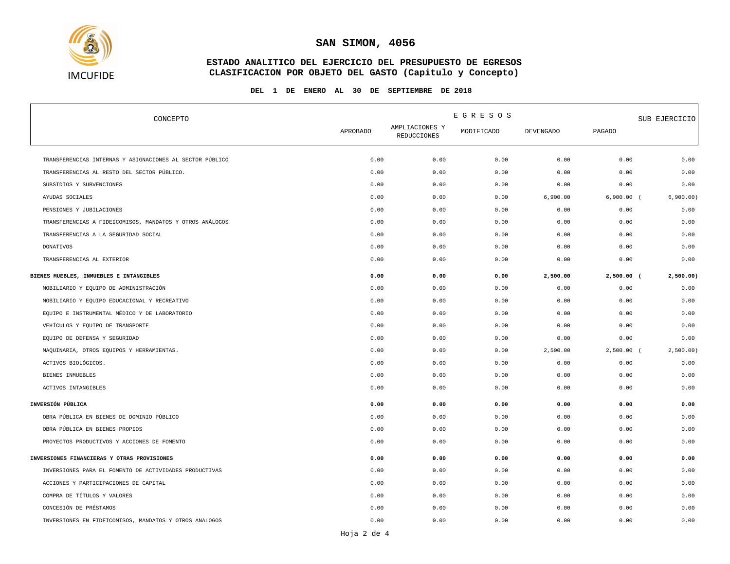

## **ESTADO ANALITICO DEL EJERCICIO DEL PRESUPUESTO DE EGRESOS CLASIFICACION POR OBJETO DEL GASTO (Capitulo y Concepto)**

#### **DEL 1 DE ENERO AL 30 DE SEPTIEMBRE DE 2018**

| CONCEPTO                                                 | EGRESOS         |                                      |            |                  | SUB EJERCICIO |           |
|----------------------------------------------------------|-----------------|--------------------------------------|------------|------------------|---------------|-----------|
|                                                          | <b>APROBADO</b> | AMPLIACIONES Y<br><b>REDUCCIONES</b> | MODIFICADO | <b>DEVENGADO</b> | <b>PAGADO</b> |           |
| TRANSFERENCIAS INTERNAS Y ASIGNACIONES AL SECTOR PÚBLICO | 0.00            | 0.00                                 | 0.00       | 0.00             | 0.00          | 0.00      |
| TRANSFERENCIAS AL RESTO DEL SECTOR PÚBLICO.              | 0.00            | 0.00                                 | 0.00       | 0.00             | 0.00          | 0.00      |
| SUBSIDIOS Y SUBVENCIONES                                 | 0.00            | 0.00                                 | 0.00       | 0.00             | 0.00          | 0.00      |
| AYUDAS SOCIALES                                          | 0.00            | 0.00                                 | 0.00       | 6,900.00         | $6,900.00$ (  | 6,900.00) |
| PENSIONES Y JUBILACIONES                                 | 0.00            | 0.00                                 | 0.00       | 0.00             | 0.00          | 0.00      |
| TRANSFERENCIAS A FIDEICOMISOS, MANDATOS Y OTROS ANÁLOGOS | 0.00            | 0.00                                 | 0.00       | 0.00             | 0.00          | 0.00      |
| TRANSFERENCIAS A LA SEGURIDAD SOCIAL                     | 0.00            | 0.00                                 | 0.00       | 0.00             | 0.00          | 0.00      |
| DONATIVOS                                                | 0.00            | 0.00                                 | 0.00       | 0.00             | 0.00          | 0.00      |
| TRANSFERENCIAS AL EXTERIOR                               | 0.00            | 0.00                                 | 0.00       | 0.00             | 0.00          | 0.00      |
| BIENES MUEBLES, INMUEBLES E INTANGIBLES                  | 0.00            | 0.00                                 | 0.00       | 2,500.00         | $2,500.00$ (  | 2,500.00) |
| MOBILIARIO Y EQUIPO DE ADMINISTRACIÓN                    | 0.00            | 0.00                                 | 0.00       | 0.00             | 0.00          | 0.00      |
| MOBILIARIO Y EQUIPO EDUCACIONAL Y RECREATIVO             | 0.00            | 0.00                                 | 0.00       | 0.00             | 0.00          | 0.00      |
| EQUIPO E INSTRUMENTAL MÉDICO Y DE LABORATORIO            | 0.00            | 0.00                                 | 0.00       | 0.00             | 0.00          | 0.00      |
| VEHÍCULOS Y EQUIPO DE TRANSPORTE                         | 0.00            | 0.00                                 | 0.00       | 0.00             | 0.00          | 0.00      |
| EQUIPO DE DEFENSA Y SEGURIDAD                            | 0.00            | 0.00                                 | 0.00       | 0.00             | 0.00          | 0.00      |
| MAQUINARIA, OTROS EQUIPOS Y HERRAMIENTAS.                | 0.00            | 0.00                                 | 0.00       | 2,500.00         | $2,500.00$ (  | 2,500.00) |
| ACTIVOS BIOLÓGICOS.                                      | 0.00            | 0.00                                 | 0.00       | 0.00             | 0.00          | 0.00      |
| BIENES INMUEBLES                                         | 0.00            | 0.00                                 | 0.00       | 0.00             | 0.00          | 0.00      |
| ACTIVOS INTANGIBLES                                      | 0.00            | 0.00                                 | 0.00       | 0.00             | 0.00          | 0.00      |
| INVERSIÓN PÚBLICA                                        | 0.00            | 0.00                                 | 0.00       | 0.00             | 0.00          | 0.00      |
| OBRA PÚBLICA EN BIENES DE DOMINIO PÚBLICO                | 0.00            | 0.00                                 | 0.00       | 0.00             | 0.00          | 0.00      |
| OBRA PÚBLICA EN BIENES PROPIOS                           | 0.00            | 0.00                                 | 0.00       | 0.00             | 0.00          | 0.00      |
| PROYECTOS PRODUCTIVOS Y ACCIONES DE FOMENTO              | 0.00            | 0.00                                 | 0.00       | 0.00             | 0.00          | 0.00      |
| INVERSIONES FINANCIERAS Y OTRAS PROVISIONES              | 0.00            | 0.00                                 | 0.00       | 0.00             | 0.00          | 0.00      |
| INVERSIONES PARA EL FOMENTO DE ACTIVIDADES PRODUCTIVAS   | 0.00            | 0.00                                 | 0.00       | 0.00             | 0.00          | 0.00      |
| ACCIONES Y PARTICIPACIONES DE CAPITAL                    | 0.00            | 0.00                                 | 0.00       | 0.00             | 0.00          | 0.00      |
| COMPRA DE TÍTULOS Y VALORES                              | 0.00            | 0.00                                 | 0.00       | 0.00             | 0.00          | 0.00      |
| CONCESIÓN DE PRÉSTAMOS                                   | 0.00            | 0.00                                 | 0.00       | 0.00             | 0.00          | 0.00      |
| INVERSIONES EN FIDEICOMISOS, MANDATOS Y OTROS ANALOGOS   | 0.00            | 0.00                                 | 0.00       | 0.00             | 0.00          | 0.00      |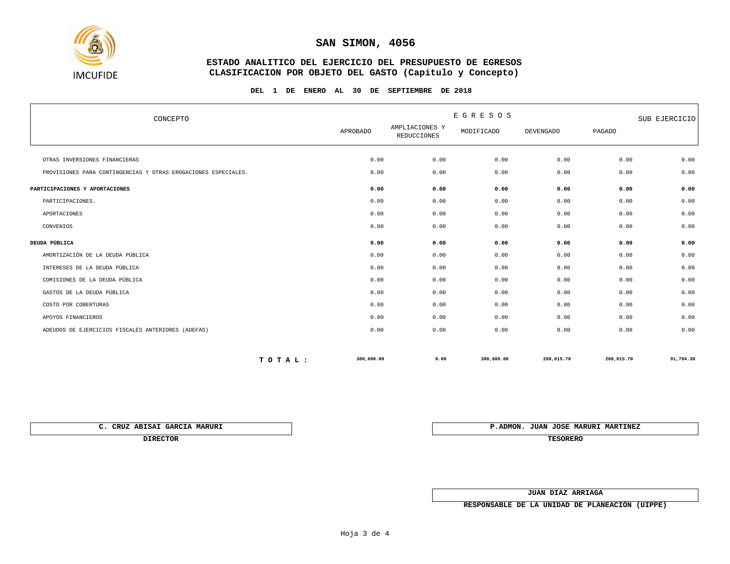

#### **ESTADO ANALITICO DEL EJERCICIO DEL PRESUPUESTO DE EGRESOS CLASIFICACION POR OBJETO DEL GASTO (Capitulo y Concepto)**

#### **DEL 1 DE ENERO AL 30 DE SEPTIEMBRE DE 2018**

| CONCEPTO                                                       |            | E G R E S O S                        |            |                  |            | SUB EJERCICIO |  |
|----------------------------------------------------------------|------------|--------------------------------------|------------|------------------|------------|---------------|--|
|                                                                |            | AMPLIACIONES Y<br><b>REDUCCIONES</b> | MODIFICADO | <b>DEVENGADO</b> | PAGADO     |               |  |
| OTRAS INVERSIONES FINANCIERAS                                  | 0.00       | 0.00                                 | 0.00       | 0.00             | 0.00       | 0.00          |  |
| PROVISIONES PARA CONTINGENCIAS Y OTRAS EROGACIONES ESPECIALES. | 0.00       | 0.00                                 | 0.00       | 0.00             | 0.00       | 0.00          |  |
| PARTICIPACIONES Y APORTACIONES                                 | 0.00       | 0.00                                 | 0.00       | 0.00             | 0.00       | 0.00          |  |
| PARTICIPACIONES.                                               | 0.00       | 0.00                                 | 0.00       | 0.00             | 0.00       | 0.00          |  |
| APORTACIONES                                                   | 0.00       | 0.00                                 | 0.00       | 0.00             | 0.00       | 0.00          |  |
| CONVENIOS                                                      | 0.00       | 0.00                                 | 0.00       | 0.00             | 0.00       | 0.00          |  |
| DEUDA PÚBLICA                                                  | 0.00       | 0.00                                 | 0.00       | 0.00             | 0.00       | 0.00          |  |
| AMORTIZACIÓN DE LA DEUDA PÚBLICA                               | 0.00       | 0.00                                 | 0.00       | 0.00             | 0.00       | 0.00          |  |
| INTERESES DE LA DEUDA PÚBLICA                                  | 0.00       | 0.00                                 | 0.00       | 0.00             | 0.00       | 0.00          |  |
| COMISIONES DE LA DEUDA PÚBLICA                                 | 0.00       | 0.00                                 | 0.00       | 0.00             | 0.00       | 0.00          |  |
| GASTOS DE LA DEUDA PÚBLICA                                     | 0.00       | 0.00                                 | 0.00       | 0.00             | 0.00       | 0.00          |  |
| COSTO POR COBERTURAS                                           | 0.00       | 0.00                                 | 0.00       | 0.00             | 0.00       | 0.00          |  |
| APOYOS FINANCIEROS                                             | 0.00       | 0.00                                 | 0.00       | 0.00             | 0.00       | 0.00          |  |
| ADEUDOS DE EJERCICIOS FISCALES ANTERIORES (ADEFAS)             | 0.00       | 0.00                                 | 0.00       | 0.00             | 0.00       | 0.00          |  |
| TOTAL:                                                         | 300,600.00 | 0.00                                 | 300,600.00 | 208,815.70       | 208,815.70 | 91,784.30     |  |

**DIRECTOR TESORERO**

**C. CRUZ ABISAI GARCIA MARURI P.ADMON. JUAN JOSE MARURI MARTINEZ**

**JUAN DIAZ ARRIAGA**

**RESPONSABLE DE LA UNIDAD DE PLANEACIÓN (UIPPE)**